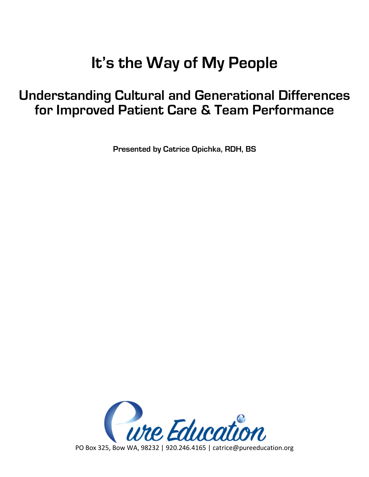# **It's the Way of My People**

## **Understanding Cultural and Generational Differences for Improved Patient Care & Team Performance**

**Presented by Catrice Opichka, RDH, BS**

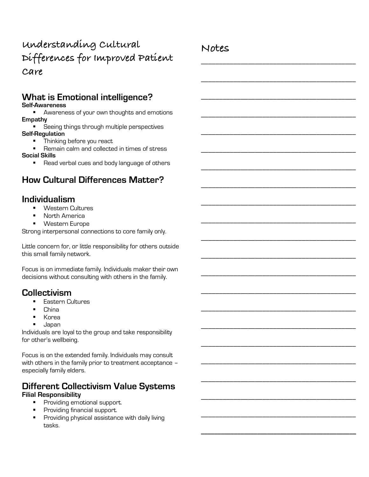## **Understanding Cultural Differences for Improved Patient Care**

## **What is Emotional intelligence?**

**Self-Awareness**

**EXEDENGE AWARENESS OF your own thoughts and emotions Empathy**

- Seeing things through multiple perspectives **Self-Regulation**
	- Thinking before you react

§ Remain calm and collected in times of stress **Social Skills**

■ Read verbal cues and body language of others

## **How Cultural Differences Matter?**

## **Individualism**

- § Western Cultures
- § North America
- Western Europe

Strong interpersonal connections to core family only.

Little concern for, or little responsibility for others outside this small family network.

Focus is on immediate family. Individuals maker their own decisions without consulting with others in the family.

## **Collectivism**

- Eastern Cultures
- § China
- § Korea
- § Japan

Individuals are loyal to the group and take responsibility for other's wellbeing.

Focus is on the extended family. Individuals may consult with others in the family prior to treatment acceptance – especially family elders.

## **Different Collectivism Value Systems**

#### **Filial Responsibility**

- Providing emotional support.
- Providing financial support.
- **•** Providing physical assistance with daily living tasks.

## **Notes**

\_\_\_\_\_\_\_\_\_\_\_\_\_\_\_\_\_\_\_\_\_\_\_\_\_\_\_\_\_\_\_\_\_\_\_\_\_\_\_\_\_\_\_

\_\_\_\_\_\_\_\_\_\_\_\_\_\_\_\_\_\_\_\_\_\_\_\_\_\_\_\_\_\_\_\_\_\_\_\_\_\_\_\_\_\_\_

\_\_\_\_\_\_\_\_\_\_\_\_\_\_\_\_\_\_\_\_\_\_\_\_\_\_\_\_\_\_\_\_\_\_\_\_\_\_\_\_\_\_\_

\_\_\_\_\_\_\_\_\_\_\_\_\_\_\_\_\_\_\_\_\_\_\_\_\_\_\_\_\_\_\_\_\_\_\_\_\_\_\_\_\_\_\_

\_\_\_\_\_\_\_\_\_\_\_\_\_\_\_\_\_\_\_\_\_\_\_\_\_\_\_\_\_\_\_\_\_\_\_\_\_\_\_\_\_\_\_

\_\_\_\_\_\_\_\_\_\_\_\_\_\_\_\_\_\_\_\_\_\_\_\_\_\_\_\_\_\_\_\_\_\_\_\_\_\_\_\_\_\_\_

\_\_\_\_\_\_\_\_\_\_\_\_\_\_\_\_\_\_\_\_\_\_\_\_\_\_\_\_\_\_\_\_\_\_\_\_\_\_\_\_\_\_\_

\_\_\_\_\_\_\_\_\_\_\_\_\_\_\_\_\_\_\_\_\_\_\_\_\_\_\_\_\_\_\_\_\_\_\_\_\_\_\_\_\_\_\_

\_\_\_\_\_\_\_\_\_\_\_\_\_\_\_\_\_\_\_\_\_\_\_\_\_\_\_\_\_\_\_\_\_\_\_\_\_\_\_\_\_\_\_

\_\_\_\_\_\_\_\_\_\_\_\_\_\_\_\_\_\_\_\_\_\_\_\_\_\_\_\_\_\_\_\_\_\_\_\_\_\_\_\_\_\_\_

\_\_\_\_\_\_\_\_\_\_\_\_\_\_\_\_\_\_\_\_\_\_\_\_\_\_\_\_\_\_\_\_\_\_\_\_\_\_\_\_\_\_\_

\_\_\_\_\_\_\_\_\_\_\_\_\_\_\_\_\_\_\_\_\_\_\_\_\_\_\_\_\_\_\_\_\_\_\_\_\_\_\_\_\_\_\_

\_\_\_\_\_\_\_\_\_\_\_\_\_\_\_\_\_\_\_\_\_\_\_\_\_\_\_\_\_\_\_\_\_\_\_\_\_\_\_\_\_\_\_

\_\_\_\_\_\_\_\_\_\_\_\_\_\_\_\_\_\_\_\_\_\_\_\_\_\_\_\_\_\_\_\_\_\_\_\_\_\_\_\_\_\_\_

\_\_\_\_\_\_\_\_\_\_\_\_\_\_\_\_\_\_\_\_\_\_\_\_\_\_\_\_\_\_\_\_\_\_\_\_\_\_\_\_\_\_\_

\_\_\_\_\_\_\_\_\_\_\_\_\_\_\_\_\_\_\_\_\_\_\_\_\_\_\_\_\_\_\_\_\_\_\_\_\_\_\_\_\_\_\_

\_\_\_\_\_\_\_\_\_\_\_\_\_\_\_\_\_\_\_\_\_\_\_\_\_\_\_\_\_\_\_\_\_\_\_\_\_\_\_\_\_\_\_

\_\_\_\_\_\_\_\_\_\_\_\_\_\_\_\_\_\_\_\_\_\_\_\_\_\_\_\_\_\_\_\_\_\_\_\_\_\_\_\_\_\_\_

\_\_\_\_\_\_\_\_\_\_\_\_\_\_\_\_\_\_\_\_\_\_\_\_\_\_\_\_\_\_\_\_\_\_\_\_\_\_\_\_\_\_\_

\_\_\_\_\_\_\_\_\_\_\_\_\_\_\_\_\_\_\_\_\_\_\_\_\_\_\_\_\_\_\_\_\_\_\_\_\_\_\_\_\_\_\_

\_\_\_\_\_\_\_\_\_\_\_\_\_\_\_\_\_\_\_\_\_\_\_\_\_\_\_\_\_\_\_\_\_\_\_\_\_\_\_\_\_\_\_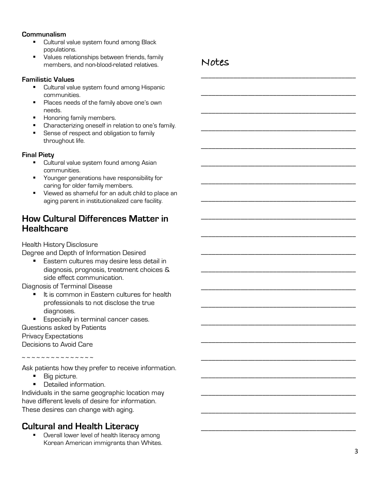#### **Communalism**

- Cultural value system found among Black populations.
- § Values relationships between friends, family members, and non-blood-related relatives.

#### **Familistic Values**

- Cultural value system found among Hispanic communities.
- § Places needs of the family above one's own needs.
- **E** Honoring family members.
- Characterizing oneself in relation to one's family.
- **•** Sense of respect and obligation to family throughout life.

#### **Final Piety**

- Cultural value system found among Asian communities.
- § Younger generations have responsibility for caring for older family members.
- § Viewed as shameful for an adult child to place an aging parent in institutionalized care facility.

## **How Cultural Differences Matter in Healthcare**

Health History Disclosure

Degree and Depth of Information Desired

Eastern cultures may desire less detail in diagnosis, prognosis, treatment choices & side effect communication.

Diagnosis of Terminal Disease

- It is common in Eastern cultures for health professionals to not disclose the true diagnoses.
- Especially in terminal cancer cases. Questions asked by Patients Privacy Expectations Decisions to Avoid Care

~ ~ ~ ~ ~ ~ ~ ~ ~ ~ ~ ~ ~ ~ ~ ~

Ask patients how they prefer to receive information.

- Big picture.
- Detailed information.

Individuals in the same geographic location may have different levels of desire for information. These desires can change with aging.

#### **Cultural and Health Literacy**

■ Overall lower level of health literacy among Korean American immigrants than Whites.

## **Notes**

\_\_\_\_\_\_\_\_\_\_\_\_\_\_\_\_\_\_\_\_\_\_\_\_\_\_\_\_\_\_\_\_\_\_\_\_\_\_\_\_\_\_\_

\_\_\_\_\_\_\_\_\_\_\_\_\_\_\_\_\_\_\_\_\_\_\_\_\_\_\_\_\_\_\_\_\_\_\_\_\_\_\_\_\_\_\_

\_\_\_\_\_\_\_\_\_\_\_\_\_\_\_\_\_\_\_\_\_\_\_\_\_\_\_\_\_\_\_\_\_\_\_\_\_\_\_\_\_\_\_

\_\_\_\_\_\_\_\_\_\_\_\_\_\_\_\_\_\_\_\_\_\_\_\_\_\_\_\_\_\_\_\_\_\_\_\_\_\_\_\_\_\_\_

\_\_\_\_\_\_\_\_\_\_\_\_\_\_\_\_\_\_\_\_\_\_\_\_\_\_\_\_\_\_\_\_\_\_\_\_\_\_\_\_\_\_\_

\_\_\_\_\_\_\_\_\_\_\_\_\_\_\_\_\_\_\_\_\_\_\_\_\_\_\_\_\_\_\_\_\_\_\_\_\_\_\_\_\_\_\_

\_\_\_\_\_\_\_\_\_\_\_\_\_\_\_\_\_\_\_\_\_\_\_\_\_\_\_\_\_\_\_\_\_\_\_\_\_\_\_\_\_\_\_

\_\_\_\_\_\_\_\_\_\_\_\_\_\_\_\_\_\_\_\_\_\_\_\_\_\_\_\_\_\_\_\_\_\_\_\_\_\_\_\_\_\_\_

\_\_\_\_\_\_\_\_\_\_\_\_\_\_\_\_\_\_\_\_\_\_\_\_\_\_\_\_\_\_\_\_\_\_\_\_\_\_\_\_\_\_\_

\_\_\_\_\_\_\_\_\_\_\_\_\_\_\_\_\_\_\_\_\_\_\_\_\_\_\_\_\_\_\_\_\_\_\_\_\_\_\_\_\_\_\_

\_\_\_\_\_\_\_\_\_\_\_\_\_\_\_\_\_\_\_\_\_\_\_\_\_\_\_\_\_\_\_\_\_\_\_\_\_\_\_\_\_\_\_

\_\_\_\_\_\_\_\_\_\_\_\_\_\_\_\_\_\_\_\_\_\_\_\_\_\_\_\_\_\_\_\_\_\_\_\_\_\_\_\_\_\_\_

\_\_\_\_\_\_\_\_\_\_\_\_\_\_\_\_\_\_\_\_\_\_\_\_\_\_\_\_\_\_\_\_\_\_\_\_\_\_\_\_\_\_\_

\_\_\_\_\_\_\_\_\_\_\_\_\_\_\_\_\_\_\_\_\_\_\_\_\_\_\_\_\_\_\_\_\_\_\_\_\_\_\_\_\_\_\_

\_\_\_\_\_\_\_\_\_\_\_\_\_\_\_\_\_\_\_\_\_\_\_\_\_\_\_\_\_\_\_\_\_\_\_\_\_\_\_\_\_\_\_

\_\_\_\_\_\_\_\_\_\_\_\_\_\_\_\_\_\_\_\_\_\_\_\_\_\_\_\_\_\_\_\_\_\_\_\_\_\_\_\_\_\_\_

\_\_\_\_\_\_\_\_\_\_\_\_\_\_\_\_\_\_\_\_\_\_\_\_\_\_\_\_\_\_\_\_\_\_\_\_\_\_\_\_\_\_\_

\_\_\_\_\_\_\_\_\_\_\_\_\_\_\_\_\_\_\_\_\_\_\_\_\_\_\_\_\_\_\_\_\_\_\_\_\_\_\_\_\_\_\_

\_\_\_\_\_\_\_\_\_\_\_\_\_\_\_\_\_\_\_\_\_\_\_\_\_\_\_\_\_\_\_\_\_\_\_\_\_\_\_\_\_\_\_

\_\_\_\_\_\_\_\_\_\_\_\_\_\_\_\_\_\_\_\_\_\_\_\_\_\_\_\_\_\_\_\_\_\_\_\_\_\_\_\_\_\_\_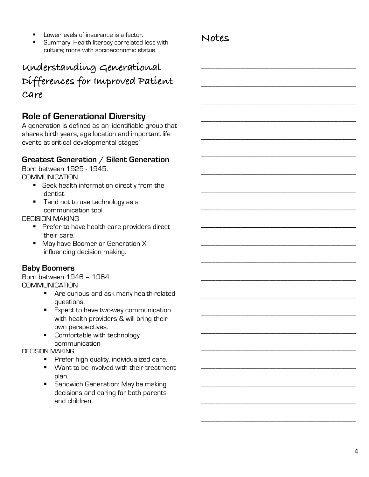- Lower levels of insurance is a factor.
- § Summary: Health literacy correlated less with culture; more with socioeconomic status.

## **Notes**

\_\_\_\_\_\_\_\_\_\_\_\_\_\_\_\_\_\_\_\_\_\_\_\_\_\_\_\_\_\_\_\_\_\_\_\_\_\_\_\_\_\_\_

\_\_\_\_\_\_\_\_\_\_\_\_\_\_\_\_\_\_\_\_\_\_\_\_\_\_\_\_\_\_\_\_\_\_\_\_\_\_\_\_\_\_\_

\_\_\_\_\_\_\_\_\_\_\_\_\_\_\_\_\_\_\_\_\_\_\_\_\_\_\_\_\_\_\_\_\_\_\_\_\_\_\_\_\_\_\_

\_\_\_\_\_\_\_\_\_\_\_\_\_\_\_\_\_\_\_\_\_\_\_\_\_\_\_\_\_\_\_\_\_\_\_\_\_\_\_\_\_\_\_

\_\_\_\_\_\_\_\_\_\_\_\_\_\_\_\_\_\_\_\_\_\_\_\_\_\_\_\_\_\_\_\_\_\_\_\_\_\_\_\_\_\_\_

\_\_\_\_\_\_\_\_\_\_\_\_\_\_\_\_\_\_\_\_\_\_\_\_\_\_\_\_\_\_\_\_\_\_\_\_\_\_\_\_\_\_\_

\_\_\_\_\_\_\_\_\_\_\_\_\_\_\_\_\_\_\_\_\_\_\_\_\_\_\_\_\_\_\_\_\_\_\_\_\_\_\_\_\_\_\_

\_\_\_\_\_\_\_\_\_\_\_\_\_\_\_\_\_\_\_\_\_\_\_\_\_\_\_\_\_\_\_\_\_\_\_\_\_\_\_\_\_\_\_

\_\_\_\_\_\_\_\_\_\_\_\_\_\_\_\_\_\_\_\_\_\_\_\_\_\_\_\_\_\_\_\_\_\_\_\_\_\_\_\_\_\_\_

\_\_\_\_\_\_\_\_\_\_\_\_\_\_\_\_\_\_\_\_\_\_\_\_\_\_\_\_\_\_\_\_\_\_\_\_\_\_\_\_\_\_\_

\_\_\_\_\_\_\_\_\_\_\_\_\_\_\_\_\_\_\_\_\_\_\_\_\_\_\_\_\_\_\_\_\_\_\_\_\_\_\_\_\_\_\_

\_\_\_\_\_\_\_\_\_\_\_\_\_\_\_\_\_\_\_\_\_\_\_\_\_\_\_\_\_\_\_\_\_\_\_\_\_\_\_\_\_\_\_

\_\_\_\_\_\_\_\_\_\_\_\_\_\_\_\_\_\_\_\_\_\_\_\_\_\_\_\_\_\_\_\_\_\_\_\_\_\_\_\_\_\_\_

\_\_\_\_\_\_\_\_\_\_\_\_\_\_\_\_\_\_\_\_\_\_\_\_\_\_\_\_\_\_\_\_\_\_\_\_\_\_\_\_\_\_\_

\_\_\_\_\_\_\_\_\_\_\_\_\_\_\_\_\_\_\_\_\_\_\_\_\_\_\_\_\_\_\_\_\_\_\_\_\_\_\_\_\_\_\_

\_\_\_\_\_\_\_\_\_\_\_\_\_\_\_\_\_\_\_\_\_\_\_\_\_\_\_\_\_\_\_\_\_\_\_\_\_\_\_\_\_\_\_

\_\_\_\_\_\_\_\_\_\_\_\_\_\_\_\_\_\_\_\_\_\_\_\_\_\_\_\_\_\_\_\_\_\_\_\_\_\_\_\_\_\_\_

\_\_\_\_\_\_\_\_\_\_\_\_\_\_\_\_\_\_\_\_\_\_\_\_\_\_\_\_\_\_\_\_\_\_\_\_\_\_\_\_\_\_\_

\_\_\_\_\_\_\_\_\_\_\_\_\_\_\_\_\_\_\_\_\_\_\_\_\_\_\_\_\_\_\_\_\_\_\_\_\_\_\_\_\_\_\_

\_\_\_\_\_\_\_\_\_\_\_\_\_\_\_\_\_\_\_\_\_\_\_\_\_\_\_\_\_\_\_\_\_\_\_\_\_\_\_\_\_\_\_

\_\_\_\_\_\_\_\_\_\_\_\_\_\_\_\_\_\_\_\_\_\_\_\_\_\_\_\_\_\_\_\_\_\_\_\_\_\_\_\_\_\_\_

## **Understanding Generational Differences for Improved Patient Care**

## **Role of Generational Diversity**

A generation is defined as an 'identifiable group that shares birth years, age location and important life events at critical developmental stages'

### **Greatest Generation / Silent Generation**

Born between 1925 - 1945. COMMUNICATION

- Seek health information directly from the dentist.
- Tend not to use technology as a communication tool.

DECISION MAKING

- Prefer to have health care providers direct their care.
- May have Boomer or Generation X influencing decision making.

### **Baby Boomers**

Born between 1946 – 1964 COMMUNICATION

- Are curious and ask many health-related questions.
- Expect to have two-way communication with health providers & will bring their own perspectives.
- § Comfortable with technology communication

#### DECISION MAKING

- **•** Prefer high quality, individualized care.
- Want to be involved with their treatment plan.
- Sandwich Generation: May be making decisions and caring for both parents and children.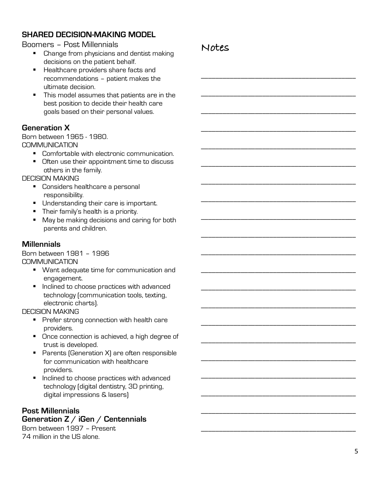## **SHARED DECISION-MAKING MODEL**

#### Boomers – Post Millennials

- Change from physicians and dentist making decisions on the patient behalf.
- Healthcare providers share facts and recommendations – patient makes the ultimate decision.
- This model assumes that patients are in the best position to decide their health care goals based on their personal values.

#### **Generation X**

Born between 1965 - 1980. COMMUNICATION

- Comfortable with electronic communication.
- Often use their appointment time to discuss others in the family.

DECISION MAKING

- Considers healthcare a personal responsibility.
- Understanding their care is important.
- **Their family's health is a priority.**
- May be making decisions and caring for both parents and children.

#### **Millennials**

Born between 1981 – 1996 **COMMUNICATION** 

- Want adequate time for communication and engagement.
- Inclined to choose practices with advanced technology (communication tools, texting, electronic charts).

DECISION MAKING

- Prefer strong connection with health care providers.
- Once connection is achieved, a high degree of trust is developed.
- Parents (Generation X) are often responsible for communication with healthcare providers.
- Inclined to choose practices with advanced technology (digital dentistry, 3D printing, digital impressions & lasers)

#### **Post Millennials Generation Z / iGen / Centennials**

Born between 1997 – Present 74 million in the US alone.

## **Notes**

\_\_\_\_\_\_\_\_\_\_\_\_\_\_\_\_\_\_\_\_\_\_\_\_\_\_\_\_\_\_\_\_\_\_\_\_\_\_\_\_\_\_\_

\_\_\_\_\_\_\_\_\_\_\_\_\_\_\_\_\_\_\_\_\_\_\_\_\_\_\_\_\_\_\_\_\_\_\_\_\_\_\_\_\_\_\_

\_\_\_\_\_\_\_\_\_\_\_\_\_\_\_\_\_\_\_\_\_\_\_\_\_\_\_\_\_\_\_\_\_\_\_\_\_\_\_\_\_\_\_

\_\_\_\_\_\_\_\_\_\_\_\_\_\_\_\_\_\_\_\_\_\_\_\_\_\_\_\_\_\_\_\_\_\_\_\_\_\_\_\_\_\_\_

\_\_\_\_\_\_\_\_\_\_\_\_\_\_\_\_\_\_\_\_\_\_\_\_\_\_\_\_\_\_\_\_\_\_\_\_\_\_\_\_\_\_\_

\_\_\_\_\_\_\_\_\_\_\_\_\_\_\_\_\_\_\_\_\_\_\_\_\_\_\_\_\_\_\_\_\_\_\_\_\_\_\_\_\_\_\_

\_\_\_\_\_\_\_\_\_\_\_\_\_\_\_\_\_\_\_\_\_\_\_\_\_\_\_\_\_\_\_\_\_\_\_\_\_\_\_\_\_\_\_

\_\_\_\_\_\_\_\_\_\_\_\_\_\_\_\_\_\_\_\_\_\_\_\_\_\_\_\_\_\_\_\_\_\_\_\_\_\_\_\_\_\_\_

\_\_\_\_\_\_\_\_\_\_\_\_\_\_\_\_\_\_\_\_\_\_\_\_\_\_\_\_\_\_\_\_\_\_\_\_\_\_\_\_\_\_\_

\_\_\_\_\_\_\_\_\_\_\_\_\_\_\_\_\_\_\_\_\_\_\_\_\_\_\_\_\_\_\_\_\_\_\_\_\_\_\_\_\_\_\_

\_\_\_\_\_\_\_\_\_\_\_\_\_\_\_\_\_\_\_\_\_\_\_\_\_\_\_\_\_\_\_\_\_\_\_\_\_\_\_\_\_\_\_

\_\_\_\_\_\_\_\_\_\_\_\_\_\_\_\_\_\_\_\_\_\_\_\_\_\_\_\_\_\_\_\_\_\_\_\_\_\_\_\_\_\_\_

\_\_\_\_\_\_\_\_\_\_\_\_\_\_\_\_\_\_\_\_\_\_\_\_\_\_\_\_\_\_\_\_\_\_\_\_\_\_\_\_\_\_\_

\_\_\_\_\_\_\_\_\_\_\_\_\_\_\_\_\_\_\_\_\_\_\_\_\_\_\_\_\_\_\_\_\_\_\_\_\_\_\_\_\_\_\_

\_\_\_\_\_\_\_\_\_\_\_\_\_\_\_\_\_\_\_\_\_\_\_\_\_\_\_\_\_\_\_\_\_\_\_\_\_\_\_\_\_\_\_

\_\_\_\_\_\_\_\_\_\_\_\_\_\_\_\_\_\_\_\_\_\_\_\_\_\_\_\_\_\_\_\_\_\_\_\_\_\_\_\_\_\_\_

\_\_\_\_\_\_\_\_\_\_\_\_\_\_\_\_\_\_\_\_\_\_\_\_\_\_\_\_\_\_\_\_\_\_\_\_\_\_\_\_\_\_\_

\_\_\_\_\_\_\_\_\_\_\_\_\_\_\_\_\_\_\_\_\_\_\_\_\_\_\_\_\_\_\_\_\_\_\_\_\_\_\_\_\_\_\_

\_\_\_\_\_\_\_\_\_\_\_\_\_\_\_\_\_\_\_\_\_\_\_\_\_\_\_\_\_\_\_\_\_\_\_\_\_\_\_\_\_\_\_

\_\_\_\_\_\_\_\_\_\_\_\_\_\_\_\_\_\_\_\_\_\_\_\_\_\_\_\_\_\_\_\_\_\_\_\_\_\_\_\_\_\_\_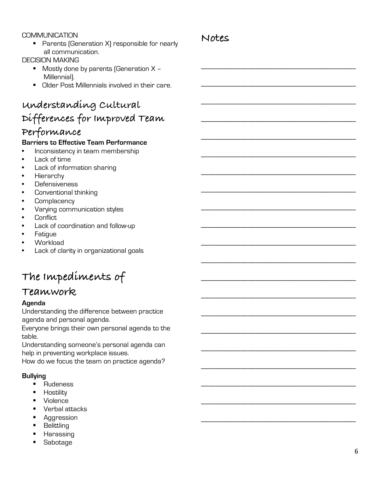#### **COMMUNICATION**

■ Parents (Generation X) responsible for nearly all communication.

#### DECISION MAKING

- Mostly done by parents (Generation X -Millennial).
- Older Post Millennials involved in their care.

## **Understanding Cultural Differences for Improved Team**

## **Performance**

#### **Barriers to Effective Team Performance**

- Inconsistency in team membership
- Lack of time
- Lack of information sharing
- **Hierarchy**
- **Defensiveness**
- Conventional thinking
- **Complacency**
- Varying communication styles
- Conflict
- Lack of coordination and follow-up
- **Fatigue**
- Workload
- Lack of clarity in organizational goals

## **The Impediments of**

## **Teamwork**

#### **Agenda**

Understanding the difference between practice agenda and personal agenda.

Everyone brings their own personal agenda to the table.

Understanding someone's personal agenda can help in preventing workplace issues.

How do we focus the team on practice agenda?

#### **Bullying**

- Rudeness
- Hostility
- Violence
- Verbal attacks
- Aggression
- Belittling
- Harassing
- § Sabotage

## **Notes**

\_\_\_\_\_\_\_\_\_\_\_\_\_\_\_\_\_\_\_\_\_\_\_\_\_\_\_\_\_\_\_\_\_\_\_\_\_\_\_\_\_\_\_

\_\_\_\_\_\_\_\_\_\_\_\_\_\_\_\_\_\_\_\_\_\_\_\_\_\_\_\_\_\_\_\_\_\_\_\_\_\_\_\_\_\_\_

\_\_\_\_\_\_\_\_\_\_\_\_\_\_\_\_\_\_\_\_\_\_\_\_\_\_\_\_\_\_\_\_\_\_\_\_\_\_\_\_\_\_\_

\_\_\_\_\_\_\_\_\_\_\_\_\_\_\_\_\_\_\_\_\_\_\_\_\_\_\_\_\_\_\_\_\_\_\_\_\_\_\_\_\_\_\_

\_\_\_\_\_\_\_\_\_\_\_\_\_\_\_\_\_\_\_\_\_\_\_\_\_\_\_\_\_\_\_\_\_\_\_\_\_\_\_\_\_\_\_

\_\_\_\_\_\_\_\_\_\_\_\_\_\_\_\_\_\_\_\_\_\_\_\_\_\_\_\_\_\_\_\_\_\_\_\_\_\_\_\_\_\_\_

\_\_\_\_\_\_\_\_\_\_\_\_\_\_\_\_\_\_\_\_\_\_\_\_\_\_\_\_\_\_\_\_\_\_\_\_\_\_\_\_\_\_\_

\_\_\_\_\_\_\_\_\_\_\_\_\_\_\_\_\_\_\_\_\_\_\_\_\_\_\_\_\_\_\_\_\_\_\_\_\_\_\_\_\_\_\_

\_\_\_\_\_\_\_\_\_\_\_\_\_\_\_\_\_\_\_\_\_\_\_\_\_\_\_\_\_\_\_\_\_\_\_\_\_\_\_\_\_\_\_

\_\_\_\_\_\_\_\_\_\_\_\_\_\_\_\_\_\_\_\_\_\_\_\_\_\_\_\_\_\_\_\_\_\_\_\_\_\_\_\_\_\_\_

\_\_\_\_\_\_\_\_\_\_\_\_\_\_\_\_\_\_\_\_\_\_\_\_\_\_\_\_\_\_\_\_\_\_\_\_\_\_\_\_\_\_\_

\_\_\_\_\_\_\_\_\_\_\_\_\_\_\_\_\_\_\_\_\_\_\_\_\_\_\_\_\_\_\_\_\_\_\_\_\_\_\_\_\_\_\_

\_\_\_\_\_\_\_\_\_\_\_\_\_\_\_\_\_\_\_\_\_\_\_\_\_\_\_\_\_\_\_\_\_\_\_\_\_\_\_\_\_\_\_

\_\_\_\_\_\_\_\_\_\_\_\_\_\_\_\_\_\_\_\_\_\_\_\_\_\_\_\_\_\_\_\_\_\_\_\_\_\_\_\_\_\_\_

\_\_\_\_\_\_\_\_\_\_\_\_\_\_\_\_\_\_\_\_\_\_\_\_\_\_\_\_\_\_\_\_\_\_\_\_\_\_\_\_\_\_\_

\_\_\_\_\_\_\_\_\_\_\_\_\_\_\_\_\_\_\_\_\_\_\_\_\_\_\_\_\_\_\_\_\_\_\_\_\_\_\_\_\_\_\_

\_\_\_\_\_\_\_\_\_\_\_\_\_\_\_\_\_\_\_\_\_\_\_\_\_\_\_\_\_\_\_\_\_\_\_\_\_\_\_\_\_\_\_

\_\_\_\_\_\_\_\_\_\_\_\_\_\_\_\_\_\_\_\_\_\_\_\_\_\_\_\_\_\_\_\_\_\_\_\_\_\_\_\_\_\_\_

\_\_\_\_\_\_\_\_\_\_\_\_\_\_\_\_\_\_\_\_\_\_\_\_\_\_\_\_\_\_\_\_\_\_\_\_\_\_\_\_\_\_\_

\_\_\_\_\_\_\_\_\_\_\_\_\_\_\_\_\_\_\_\_\_\_\_\_\_\_\_\_\_\_\_\_\_\_\_\_\_\_\_\_\_\_\_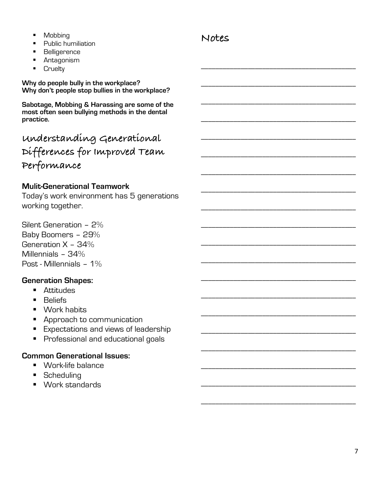- Mobbing
- Public humiliation
- § Belligerence
- Antagonism
- Cruelty

**Why do people bully in the workplace? Why don't people stop bullies in the workplace?**

**Sabotage, Mobbing & Harassing are some of the most often seen bullying methods in the dental practice.**

| understanding Generational    |
|-------------------------------|
| Differences for Improved Team |
| Performance                   |

### **Mulit-Generational Teamwork**

Today's work environment has 5 generations working together.

Silent Generation – 2% Baby Boomers – 29% Generation X – 34% Millennials – 34% Post - Millennials – 1%

### **Generation Shapes:**

- Attitudes
- Beliefs
- Work habits
- Approach to communication
- Expectations and views of leadership
- Professional and educational goals

## **Common Generational Issues:**

- § Work-life balance
- Scheduling
- Work standards

## **Notes**

\_\_\_\_\_\_\_\_\_\_\_\_\_\_\_\_\_\_\_\_\_\_\_\_\_\_\_\_\_\_\_\_\_\_\_\_\_\_\_\_\_\_\_

\_\_\_\_\_\_\_\_\_\_\_\_\_\_\_\_\_\_\_\_\_\_\_\_\_\_\_\_\_\_\_\_\_\_\_\_\_\_\_\_\_\_\_

\_\_\_\_\_\_\_\_\_\_\_\_\_\_\_\_\_\_\_\_\_\_\_\_\_\_\_\_\_\_\_\_\_\_\_\_\_\_\_\_\_\_\_

\_\_\_\_\_\_\_\_\_\_\_\_\_\_\_\_\_\_\_\_\_\_\_\_\_\_\_\_\_\_\_\_\_\_\_\_\_\_\_\_\_\_\_

\_\_\_\_\_\_\_\_\_\_\_\_\_\_\_\_\_\_\_\_\_\_\_\_\_\_\_\_\_\_\_\_\_\_\_\_\_\_\_\_\_\_\_

\_\_\_\_\_\_\_\_\_\_\_\_\_\_\_\_\_\_\_\_\_\_\_\_\_\_\_\_\_\_\_\_\_\_\_\_\_\_\_\_\_\_\_

\_\_\_\_\_\_\_\_\_\_\_\_\_\_\_\_\_\_\_\_\_\_\_\_\_\_\_\_\_\_\_\_\_\_\_\_\_\_\_\_\_\_\_

\_\_\_\_\_\_\_\_\_\_\_\_\_\_\_\_\_\_\_\_\_\_\_\_\_\_\_\_\_\_\_\_\_\_\_\_\_\_\_\_\_\_\_

\_\_\_\_\_\_\_\_\_\_\_\_\_\_\_\_\_\_\_\_\_\_\_\_\_\_\_\_\_\_\_\_\_\_\_\_\_\_\_\_\_\_\_

\_\_\_\_\_\_\_\_\_\_\_\_\_\_\_\_\_\_\_\_\_\_\_\_\_\_\_\_\_\_\_\_\_\_\_\_\_\_\_\_\_\_\_

\_\_\_\_\_\_\_\_\_\_\_\_\_\_\_\_\_\_\_\_\_\_\_\_\_\_\_\_\_\_\_\_\_\_\_\_\_\_\_\_\_\_\_

\_\_\_\_\_\_\_\_\_\_\_\_\_\_\_\_\_\_\_\_\_\_\_\_\_\_\_\_\_\_\_\_\_\_\_\_\_\_\_\_\_\_\_

\_\_\_\_\_\_\_\_\_\_\_\_\_\_\_\_\_\_\_\_\_\_\_\_\_\_\_\_\_\_\_\_\_\_\_\_\_\_\_\_\_\_\_

\_\_\_\_\_\_\_\_\_\_\_\_\_\_\_\_\_\_\_\_\_\_\_\_\_\_\_\_\_\_\_\_\_\_\_\_\_\_\_\_\_\_\_

\_\_\_\_\_\_\_\_\_\_\_\_\_\_\_\_\_\_\_\_\_\_\_\_\_\_\_\_\_\_\_\_\_\_\_\_\_\_\_\_\_\_\_

\_\_\_\_\_\_\_\_\_\_\_\_\_\_\_\_\_\_\_\_\_\_\_\_\_\_\_\_\_\_\_\_\_\_\_\_\_\_\_\_\_\_\_

\_\_\_\_\_\_\_\_\_\_\_\_\_\_\_\_\_\_\_\_\_\_\_\_\_\_\_\_\_\_\_\_\_\_\_\_\_\_\_\_\_\_\_

\_\_\_\_\_\_\_\_\_\_\_\_\_\_\_\_\_\_\_\_\_\_\_\_\_\_\_\_\_\_\_\_\_\_\_\_\_\_\_\_\_\_\_

\_\_\_\_\_\_\_\_\_\_\_\_\_\_\_\_\_\_\_\_\_\_\_\_\_\_\_\_\_\_\_\_\_\_\_\_\_\_\_\_\_\_\_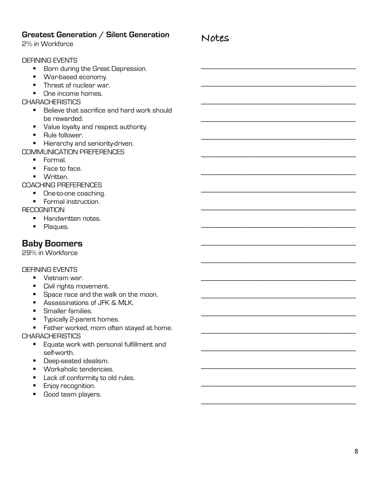| Greatest Generation / Silent Generation<br>2% in Workforce                                                                                                                                                                                                                                                                                                                                                                                                                                                      | Notes |
|-----------------------------------------------------------------------------------------------------------------------------------------------------------------------------------------------------------------------------------------------------------------------------------------------------------------------------------------------------------------------------------------------------------------------------------------------------------------------------------------------------------------|-------|
| <b>DEFINING EVENTS</b><br>Born during the Great Depression.<br>ш<br>War-based economy.<br>٠<br>Threat of nuclear war.<br>One income homes.<br><b>CHARACHERISTICS</b><br>Believe that sacrifice and hard work should<br>$\blacksquare$<br>be rewarded.<br>Value loyalty and respect authority.<br>Rule follower.<br>٠<br>Hierarchy and seniority-driven.<br>٠<br><b>COMMUNICATION PREFERENCES</b><br>Formal.<br>п.<br>Face to face.<br>٠<br>Written.<br><b>COACHING PREFERENCES</b><br>One-to-one coaching.<br>٠ |       |
| Formal instruction.<br>٠<br><b>RECOGNITION</b><br>Handwritten notes.<br>Plaques.<br>п                                                                                                                                                                                                                                                                                                                                                                                                                           |       |
| <b>Baby Boomers</b><br>29% in Workforce                                                                                                                                                                                                                                                                                                                                                                                                                                                                         |       |
| <b>DEFINING EVENTS</b><br>Vietnam war.<br>Civil rights movement.<br>Space race and the walk on the moon.<br>Assassinations of JFK & MLK.<br>Smaller families.<br>Typically 2-parent homes.<br>п<br>Father worked, mom often stayed at home.<br>٠<br><b>CHARACHERISTICS</b><br>Equate work with personal fulfillment and<br>п.<br>self-worth.<br>Deep-seated idealism.<br><i>Monkobolio</i> tondonoico                                                                                                           |       |

- § Workaholic tendencies.
- Lack of conformity to old rules.
- **Enjoy recognition.**
- § Good team players.

\_\_\_\_\_\_\_\_\_\_\_\_\_\_\_\_\_\_\_\_\_\_\_\_\_\_\_\_\_\_\_\_\_\_\_\_\_\_\_\_\_\_\_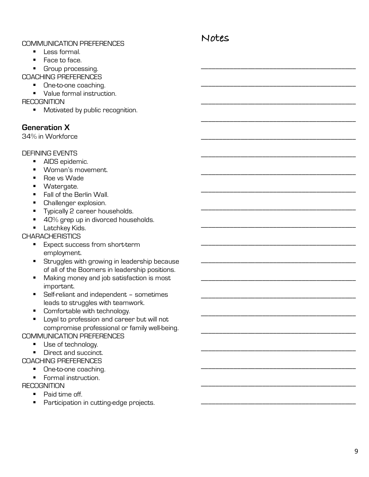#### COMMUNICATION PREFERENCES

**Notes**

\_\_\_\_\_\_\_\_\_\_\_\_\_\_\_\_\_\_\_\_\_\_\_\_\_\_\_\_\_\_\_\_\_\_\_\_\_\_\_\_\_\_\_

\_\_\_\_\_\_\_\_\_\_\_\_\_\_\_\_\_\_\_\_\_\_\_\_\_\_\_\_\_\_\_\_\_\_\_\_\_\_\_\_\_\_\_

\_\_\_\_\_\_\_\_\_\_\_\_\_\_\_\_\_\_\_\_\_\_\_\_\_\_\_\_\_\_\_\_\_\_\_\_\_\_\_\_\_\_\_

\_\_\_\_\_\_\_\_\_\_\_\_\_\_\_\_\_\_\_\_\_\_\_\_\_\_\_\_\_\_\_\_\_\_\_\_\_\_\_\_\_\_\_

\_\_\_\_\_\_\_\_\_\_\_\_\_\_\_\_\_\_\_\_\_\_\_\_\_\_\_\_\_\_\_\_\_\_\_\_\_\_\_\_\_\_\_

\_\_\_\_\_\_\_\_\_\_\_\_\_\_\_\_\_\_\_\_\_\_\_\_\_\_\_\_\_\_\_\_\_\_\_\_\_\_\_\_\_\_\_

\_\_\_\_\_\_\_\_\_\_\_\_\_\_\_\_\_\_\_\_\_\_\_\_\_\_\_\_\_\_\_\_\_\_\_\_\_\_\_\_\_\_\_

\_\_\_\_\_\_\_\_\_\_\_\_\_\_\_\_\_\_\_\_\_\_\_\_\_\_\_\_\_\_\_\_\_\_\_\_\_\_\_\_\_\_\_

\_\_\_\_\_\_\_\_\_\_\_\_\_\_\_\_\_\_\_\_\_\_\_\_\_\_\_\_\_\_\_\_\_\_\_\_\_\_\_\_\_\_\_

\_\_\_\_\_\_\_\_\_\_\_\_\_\_\_\_\_\_\_\_\_\_\_\_\_\_\_\_\_\_\_\_\_\_\_\_\_\_\_\_\_\_\_

\_\_\_\_\_\_\_\_\_\_\_\_\_\_\_\_\_\_\_\_\_\_\_\_\_\_\_\_\_\_\_\_\_\_\_\_\_\_\_\_\_\_\_

\_\_\_\_\_\_\_\_\_\_\_\_\_\_\_\_\_\_\_\_\_\_\_\_\_\_\_\_\_\_\_\_\_\_\_\_\_\_\_\_\_\_\_

\_\_\_\_\_\_\_\_\_\_\_\_\_\_\_\_\_\_\_\_\_\_\_\_\_\_\_\_\_\_\_\_\_\_\_\_\_\_\_\_\_\_\_

\_\_\_\_\_\_\_\_\_\_\_\_\_\_\_\_\_\_\_\_\_\_\_\_\_\_\_\_\_\_\_\_\_\_\_\_\_\_\_\_\_\_\_

\_\_\_\_\_\_\_\_\_\_\_\_\_\_\_\_\_\_\_\_\_\_\_\_\_\_\_\_\_\_\_\_\_\_\_\_\_\_\_\_\_\_\_

\_\_\_\_\_\_\_\_\_\_\_\_\_\_\_\_\_\_\_\_\_\_\_\_\_\_\_\_\_\_\_\_\_\_\_\_\_\_\_\_\_\_\_

\_\_\_\_\_\_\_\_\_\_\_\_\_\_\_\_\_\_\_\_\_\_\_\_\_\_\_\_\_\_\_\_\_\_\_\_\_\_\_\_\_\_\_

\_\_\_\_\_\_\_\_\_\_\_\_\_\_\_\_\_\_\_\_\_\_\_\_\_\_\_\_\_\_\_\_\_\_\_\_\_\_\_\_\_\_\_

\_\_\_\_\_\_\_\_\_\_\_\_\_\_\_\_\_\_\_\_\_\_\_\_\_\_\_\_\_\_\_\_\_\_\_\_\_\_\_\_\_\_\_

\_\_\_\_\_\_\_\_\_\_\_\_\_\_\_\_\_\_\_\_\_\_\_\_\_\_\_\_\_\_\_\_\_\_\_\_\_\_\_\_\_\_\_

- § Less formal.
- Face to face.
- Group processing.

COACHING PREFERENCES

- One-to-one coaching.
- Value formal instruction.

#### **RECOGNITION**

■ Motivated by public recognition.

#### **Generation X**

34% in Workforce

#### DEFINING EVENTS

- AIDS epidemic.
- § Woman's movement.
- Roe vs Wade
- Watergate.
- Fall of the Berlin Wall.
- Challenger explosion.
- **•** Typically 2 career households.
- 40% grep up in divorced households.
- Latchkey Kids.

#### **CHARACHERISTICS**

- Expect success from short-term employment.
- **EXT** Struggles with growing in leadership because of all of the Boomers in leadership positions.
- Making money and job satisfaction is most important.
- Self-reliant and independent sometimes leads to struggles with teamwork.
- Comfortable with technology.
- Loyal to profession and career but will not compromise professional or family well-being.

#### COMMUNICATION PREFERENCES

- Use of technology.
- Direct and succinct.

#### COACHING PREFERENCES

- One-to-one coaching.
- Formal instruction.

#### **RECOGNITION**

- Paid time off.
- Participation in cutting-edge projects.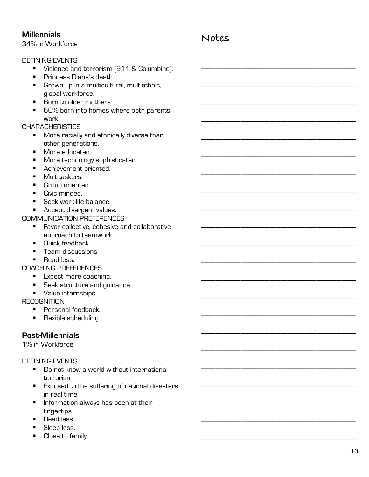#### **Millennials**

34% in Workforce

#### DEFINING EVENTS

- Violence and terrorism (911 & Columbine).
- § Princess Diana's death.
- Grown up in a multicultural, multiethnic, global workforce.
- § Born to older mothers.
- 60% born into homes where both parents work.

#### **CHARACHERISTICS**

- More racially and ethnically diverse than other generations.
- More educated.
- More technology sophisticated.
- Achievement oriented.
- **•** Multitaskers.
- § Group oriented.
- Civic minded.
- Seek work-life balance.
- Accept divergent values.

#### COMMUNICATION PREFERENCES

- Favor collective, cohesive and collaborative approach to teamwork.
- Quick feedback.
- § Team discussions.
- Read less

#### COACHING PREFERENCES

- Expect more coaching.
- Seek structure and guidance.
- **•** Value internships.

**RECOGNITION** 

- Personal feedback.
- **•** Flexible scheduling.

### **Post-Millennials**

1% in Workforce

#### DEFINING EVENTS

- Do not know a world without international terrorism.
- Exposed to the suffering of national disasters in real time.
- **•** Information always has been at their fingertips.
- Read less
- **Sleep less.**
- Close to family.

## **Notes**

\_\_\_\_\_\_\_\_\_\_\_\_\_\_\_\_\_\_\_\_\_\_\_\_\_\_\_\_\_\_\_\_\_\_\_\_\_\_\_\_\_\_\_

\_\_\_\_\_\_\_\_\_\_\_\_\_\_\_\_\_\_\_\_\_\_\_\_\_\_\_\_\_\_\_\_\_\_\_\_\_\_\_\_\_\_\_

\_\_\_\_\_\_\_\_\_\_\_\_\_\_\_\_\_\_\_\_\_\_\_\_\_\_\_\_\_\_\_\_\_\_\_\_\_\_\_\_\_\_\_

\_\_\_\_\_\_\_\_\_\_\_\_\_\_\_\_\_\_\_\_\_\_\_\_\_\_\_\_\_\_\_\_\_\_\_\_\_\_\_\_\_\_\_

\_\_\_\_\_\_\_\_\_\_\_\_\_\_\_\_\_\_\_\_\_\_\_\_\_\_\_\_\_\_\_\_\_\_\_\_\_\_\_\_\_\_\_

\_\_\_\_\_\_\_\_\_\_\_\_\_\_\_\_\_\_\_\_\_\_\_\_\_\_\_\_\_\_\_\_\_\_\_\_\_\_\_\_\_\_\_

\_\_\_\_\_\_\_\_\_\_\_\_\_\_\_\_\_\_\_\_\_\_\_\_\_\_\_\_\_\_\_\_\_\_\_\_\_\_\_\_\_\_\_

\_\_\_\_\_\_\_\_\_\_\_\_\_\_\_\_\_\_\_\_\_\_\_\_\_\_\_\_\_\_\_\_\_\_\_\_\_\_\_\_\_\_\_

\_\_\_\_\_\_\_\_\_\_\_\_\_\_\_\_\_\_\_\_\_\_\_\_\_\_\_\_\_\_\_\_\_\_\_\_\_\_\_\_\_\_\_

\_\_\_\_\_\_\_\_\_\_\_\_\_\_\_\_\_\_\_\_\_\_\_\_\_\_\_\_\_\_\_\_\_\_\_\_\_\_\_\_\_\_\_

\_\_\_\_\_\_\_\_\_\_\_\_\_\_\_\_\_\_\_\_\_\_\_\_\_\_\_\_\_\_\_\_\_\_\_\_\_\_\_\_\_\_\_

\_\_\_\_\_\_\_\_\_\_\_\_\_\_\_\_\_\_\_\_\_\_\_\_\_\_\_\_\_\_\_\_\_\_\_\_\_\_\_\_\_\_\_

\_\_\_\_\_\_\_\_\_\_\_\_\_\_\_\_\_\_\_\_\_\_\_\_\_\_\_\_\_\_\_\_\_\_\_\_\_\_\_\_\_\_\_

\_\_\_\_\_\_\_\_\_\_\_\_\_\_\_\_\_\_\_\_\_\_\_\_\_\_\_\_\_\_\_\_\_\_\_\_\_\_\_\_\_\_\_

\_\_\_\_\_\_\_\_\_\_\_\_\_\_\_\_\_\_\_\_\_\_\_\_\_\_\_\_\_\_\_\_\_\_\_\_\_\_\_\_\_\_\_

\_\_\_\_\_\_\_\_\_\_\_\_\_\_\_\_\_\_\_\_\_\_\_\_\_\_\_\_\_\_\_\_\_\_\_\_\_\_\_\_\_\_\_

\_\_\_\_\_\_\_\_\_\_\_\_\_\_\_\_\_\_\_\_\_\_\_\_\_\_\_\_\_\_\_\_\_\_\_\_\_\_\_\_\_\_\_

\_\_\_\_\_\_\_\_\_\_\_\_\_\_\_\_\_\_\_\_\_\_\_\_\_\_\_\_\_\_\_\_\_\_\_\_\_\_\_\_\_\_\_

\_\_\_\_\_\_\_\_\_\_\_\_\_\_\_\_\_\_\_\_\_\_\_\_\_\_\_\_\_\_\_\_\_\_\_\_\_\_\_\_\_\_\_

\_\_\_\_\_\_\_\_\_\_\_\_\_\_\_\_\_\_\_\_\_\_\_\_\_\_\_\_\_\_\_\_\_\_\_\_\_\_\_\_\_\_\_

\_\_\_\_\_\_\_\_\_\_\_\_\_\_\_\_\_\_\_\_\_\_\_\_\_\_\_\_\_\_\_\_\_\_\_\_\_\_\_\_\_\_\_